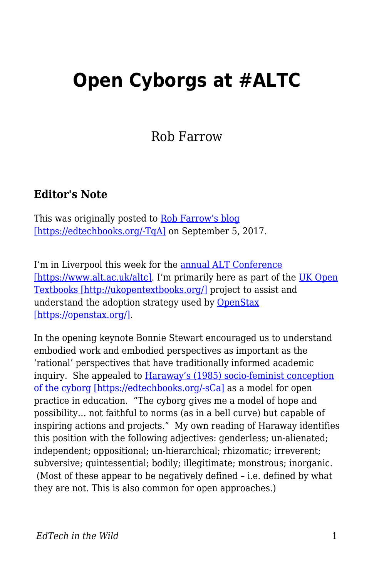## **Open Cyborgs at #ALTC**

Rob Farrow

## **Editor's Note**

This was originally posted to [Rob Farrow's blog](https://philosopher1978.wordpress.com/2017/09/05/open-cyborgs-at-altc/) [https://edtechbooks.org/-TgA] on September 5, 2017.

I'm in Liverpool this week for the **annual ALT Conference** [\[https://www.alt.ac.uk/altc\].](https://www.alt.ac.uk/altc) I'm primarily here as part of the [UK Open](http://ukopentextbooks.org/) [Textbooks \[http://ukopentextbooks.org/\]](http://ukopentextbooks.org/) project to assist and understand the adoption strategy used by [OpenStax](https://openstax.org/) [\[https://openstax.org/\].](https://openstax.org/)

In the opening keynote Bonnie Stewart encouraged us to understand embodied work and embodied perspectives as important as the 'rational' perspectives that have traditionally informed academic inquiry. She appealed to [Haraway's \(1985\) socio-feminist conception](http://faculty.georgetown.edu/irvinem/theory/Haraway-CyborgManifesto-1.pdf) [of the cyborg \[https://edtechbooks.org/-sCa\]](http://faculty.georgetown.edu/irvinem/theory/Haraway-CyborgManifesto-1.pdf) as a model for open practice in education. "The cyborg gives me a model of hope and possibility… not faithful to norms (as in a bell curve) but capable of inspiring actions and projects." My own reading of Haraway identifies this position with the following adjectives: genderless; un-alienated; independent; oppositional; un-hierarchical; rhizomatic; irreverent; subversive; quintessential; bodily; illegitimate; monstrous; inorganic. (Most of these appear to be negatively defined – i.e. defined by what they are not. This is also common for open approaches.)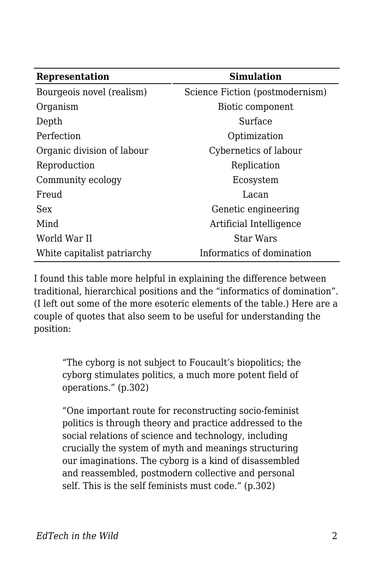| Representation              | <b>Simulation</b>               |
|-----------------------------|---------------------------------|
| Bourgeois novel (realism)   | Science Fiction (postmodernism) |
| Organism                    | Biotic component                |
| Depth                       | Surface                         |
| Perfection                  | Optimization                    |
| Organic division of labour  | Cybernetics of labour           |
| Reproduction                | Replication                     |
| Community ecology           | Ecosystem                       |
| Freud                       | Lacan                           |
| Sex                         | Genetic engineering             |
| Mind                        | Artificial Intelligence         |
| World War II                | <b>Star Wars</b>                |
| White capitalist patriarchy | Informatics of domination       |

I found this table more helpful in explaining the difference between traditional, hierarchical positions and the "informatics of domination". (I left out some of the more esoteric elements of the table.) Here are a couple of quotes that also seem to be useful for understanding the position:

"The cyborg is not subject to Foucault's biopolitics; the cyborg stimulates politics, a much more potent field of operations." (p.302)

"One important route for reconstructing socio-feminist politics is through theory and practice addressed to the social relations of science and technology, including crucially the system of myth and meanings structuring our imaginations. The cyborg is a kind of disassembled and reassembled, postmodern collective and personal self. This is the self feminists must code." (p.302)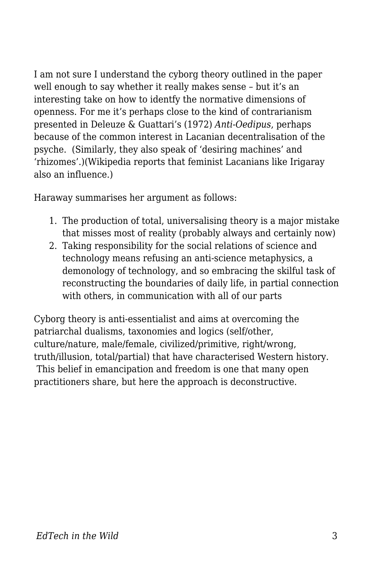I am not sure I understand the cyborg theory outlined in the paper well enough to say whether it really makes sense – but it's an interesting take on how to identfy the normative dimensions of openness. For me it's perhaps close to the kind of contrarianism presented in Deleuze & Guattari's (1972) *Anti-Oedipus*, perhaps because of the common interest in Lacanian decentralisation of the psyche. (Similarly, they also speak of 'desiring machines' and 'rhizomes'.)(Wikipedia reports that feminist Lacanians like Irigaray also an influence.)

Haraway summarises her argument as follows:

- 1. The production of total, universalising theory is a major mistake that misses most of reality (probably always and certainly now)
- 2. Taking responsibility for the social relations of science and technology means refusing an anti-science metaphysics, a demonology of technology, and so embracing the skilful task of reconstructing the boundaries of daily life, in partial connection with others, in communication with all of our parts

Cyborg theory is anti-essentialist and aims at overcoming the patriarchal dualisms, taxonomies and logics (self/other, culture/nature, male/female, civilized/primitive, right/wrong, truth/illusion, total/partial) that have characterised Western history. This belief in emancipation and freedom is one that many open

practitioners share, but here the approach is deconstructive.